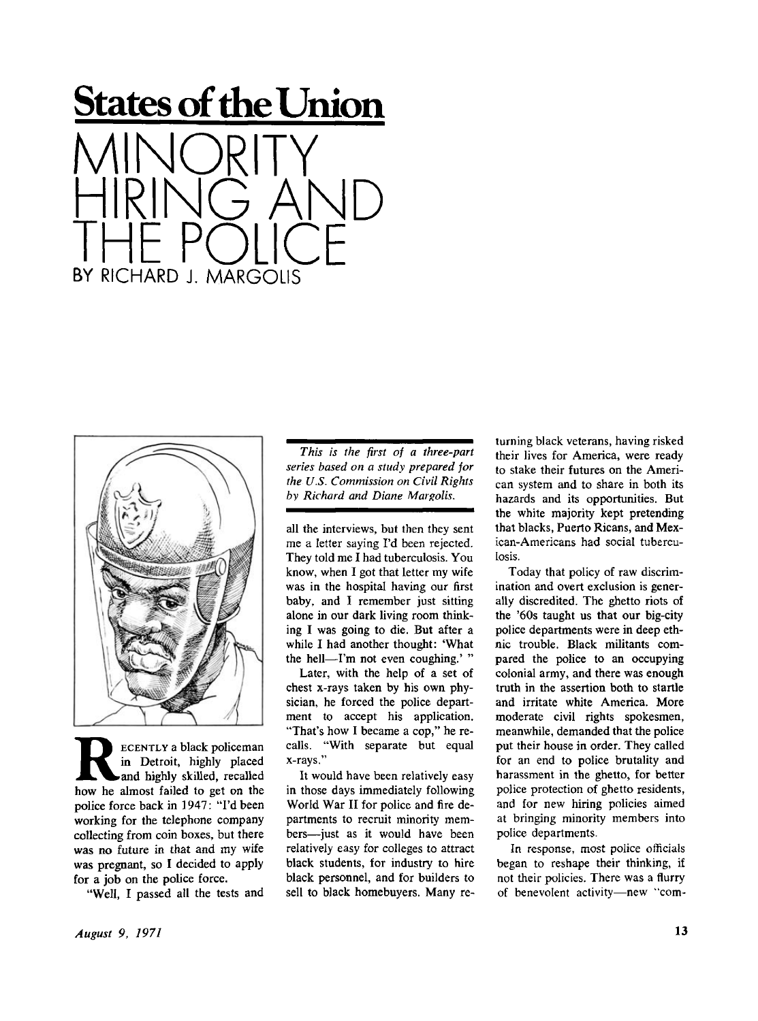



**RECENTLY a black policeman**<br>
in Detroit, highly placed<br>
how he almost failed to get on the **ECENTL Y a black policeman in Detroit, highly placed and highly skilled, recalled police force back in 1947: "I'd been working for the telephone company collecting from coin boxes, but there was no future in that and my wife was pregnant, so I decided to apply for a job on the police force.** 

**"Well, I passed all the tests and** 

*This is the first of a three-part series based on a study prepared for the U.S. Commission on Civil Rights by Richard and Diane Margolis.* 

**all the interviews, but then they sent me a letter saying I'd been rejected. They told me I had tuberculosis. You know, when I got that letter my wife was in the hospital having our first baby, and I remember just sitting alone in our dark living room thinking I was going to die. But after a while I had another thought: 'What the hell—I'm not even coughing.' "** 

**Later, with the help of a set of chest x-rays taken by his own physician, he forced the police department to accept his application. "That's how I became a cop," he recalls. "With separate but equal x-rays."** 

**It would have been relatively easy in those days immediately following World War II for police and fire departments to recruit minority members—just as it would have been relatively easy for colleges to attract black students, for industry to hire black personnel, and for builders to sell to black homebuyers. Many re-** **turning black veterans, having risked their lives for America, were ready to stake their futures on the American system and to share in both its hazards and its opportunities. But the white majority kept pretending that blacks, Puerto Ricans, and Mexican-Americans had social tuberculosis.** 

**Today that policy of raw discrimination and overt exclusion is generally discredited. The ghetto riots of the '60s taught us that our big-city police departments were in deep ethnic trouble. Black militants compared the police to an occupying colonial army, and there was enough truth in the assertion both to startle and irritate white America. More moderate civil rights spokesmen, meanwhile, demanded that the police put their house in order. They called for an end to police brutality and harassment in the ghetto, for better police protection of ghetto residents, and for new hiring policies aimed at bringing minority members into police departments.** 

**In response, most police officials began to reshape their thinking, if not their policies. There was a flurry of benevolent activity—new "com-**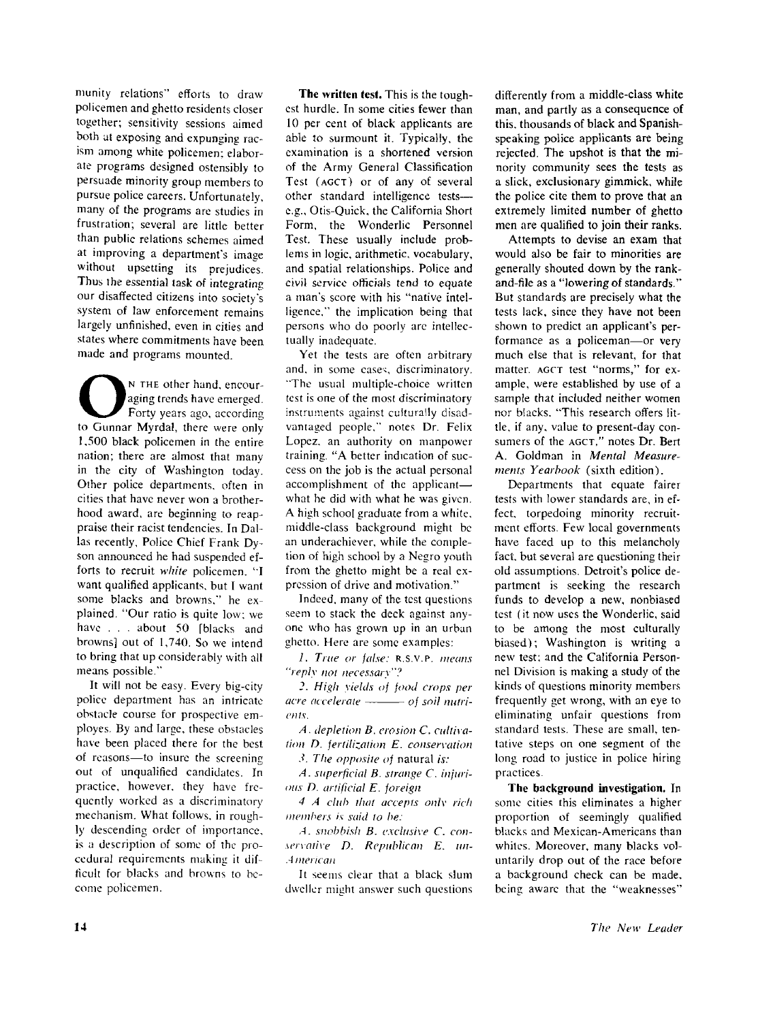**munity relations" efforts to draw policemen and ghetto residents closer together; sensitivity sessions aimed both at exposing and expunging racism among white policemen; elaborate programs designed ostensibly !o persuade minority group members to pursue police careers. Unfortunately, many of the programs are studies in frustration; several are little better than public relations schemes aimed at improving a department's image without upsetting its prejudices. Thus the essential task of integrating our disaffected citizens into society's system of law enforcement remains largely unfinished, even in cities and states where commitments have been made and programs mounted.** 

**O**<sup>N</sup> THE other hand, encouraging trends have emerged.<br>Forty years ago, according to Gunnar Myrdal, there were only **N THE other hand, encouraging trends have emerged. Forty years ago, according 1,500 black policemen in the entire nation; there are almost that many in the city of Washington today. Other police departments, often in cities that have never won a brotherhood award, are beginning to reappraise their racist tendencies. In Dallas recently. Police Chief Frank Dyson announced he had suspended efforts to recruit** *white* **policemen. ''I want qualified applicants, but I want some blacks and browns." he explained. "Our ratio is quite low; we have . . . about 50 [blacks and browns] out of 1,740. So we intend to bring that up considerably with all means possible."** 

**It will not be easy. Every big-city police department has an intricate obstacle course for prospective employes. By and large, these obstacles have been placed there for the best of reasons—to insure the screening out of unqualified candidates. In practice, however, they have frequently worked as a discriminatory mechanism. What follows, in roughly descending order of importance, is a description of some of the procedural requirements making it difficult for blacks and browns to become policemen.** 

**The written test. This is the toughest hurdle. In some cities fewer than 10 per cent of black applicants are able to surmount it. Typically, the examination is a shortened version of the Army General Classification Test (AGCT) or of any of several other standard intelligence tests e.g., Otis-Quick, the California Short Form, the Wonderlic Personnel Test. These usually include problems in logic, arithmetic, vocabulary, and spatial relationships. Police and civil service officials tend to equate a man's score with his "native intelligence." the implication being that persons who do poorly are intellectually inadequate.** 

**Yet the tests are often arbitrary and. in some case;, discriminatory. "The usual multiple-choice written test is one of the most discriminatory instruments against culturally disadvantaged people," notes Dr. Felix Lopez, an authority on manpower training. "A better indication of success on the job is the actual personal accomplishment of the applicant what he did with what he was given. A high school graduate from a white, middle-class background might be an underachiever, while the completion of high school by a Negro youth from the ghetto might be a real expression of drive and motivation."** 

**Indeed, many of the test questions seem to stack the deck against anyone who has grown up in an urban ghetto. Here are some examples:** 

*1. True or false:***<sup>R</sup>** .S.v **. p .** *means "reply not necessary"?* 

*High yields of food crops per*  acre accelerate  $\longrightarrow$  of soil nutri*ents.* 

*A. depletion B. erosion C. cultivation D. fertilization E. conservation* 

*The opposite of* **natural** *is:* 

*A. superficial B. strange C. injurious D. artificial E. foreign* 

*4 A club that accepts only rich members is said to be:* 

*A. snobbisli B. exclusive C. conservative D. Republican E. un-American* 

**It seems clear that a black slum dweller might answer such questions**  **differently from a middle-class white man, and partly as a consequence of this, thousands of black and Spanishspeaking police applicants are being rejected. The upshot is that the minority community sees the tests as a slick, exclusionary gimmick, while the police cite them to prove that an extremely limited number of ghetto men are qualified to join their ranks.** 

**Attempts to devise an exam that would also be fair to minorities are generally shouted down by the rankand-file as a "lowering of standards." But standards are precisely what the tests lack, since they have not been shown to predict an applicant's performance as a policeman—or very much else that is relevant, for that matter, AGCT test "norms," for example, were established by use of a sample that included neither women nor blacks. "This research offers little, if any, value to present-day consumers of the AGCT," notes Dr. Bert A. Goldman in** *Mental Measurements Yearbook* **(sixth edition).** 

**Departments that equate fairer tests with lower standards are, in effect, torpedoing minority recruitment efforts. Few local governments have faced up to this melancholy fact, but several are questioning their old assumptions. Detroit's police department is seeking the research funds to develop a new, nonbiased test (it now uses the Wonderlic, said to be among the most culturally biased); Washington is writing a new test; and the California Personnel Division is making a study of the kinds of questions minority members frequently get wrong, with an eye to eliminating unfair questions from standard tests. These are small, tentative steps on one segment of the long road to justice in police hiring practices.** 

**The background investigation. In some cities this eliminates a higher proportion of seemingly qualified blacks and Mexican-Americans than**  whites. Moreover, many blacks vol**untarily drop out of the race before a background check can be made, being aware that the "weaknesses"**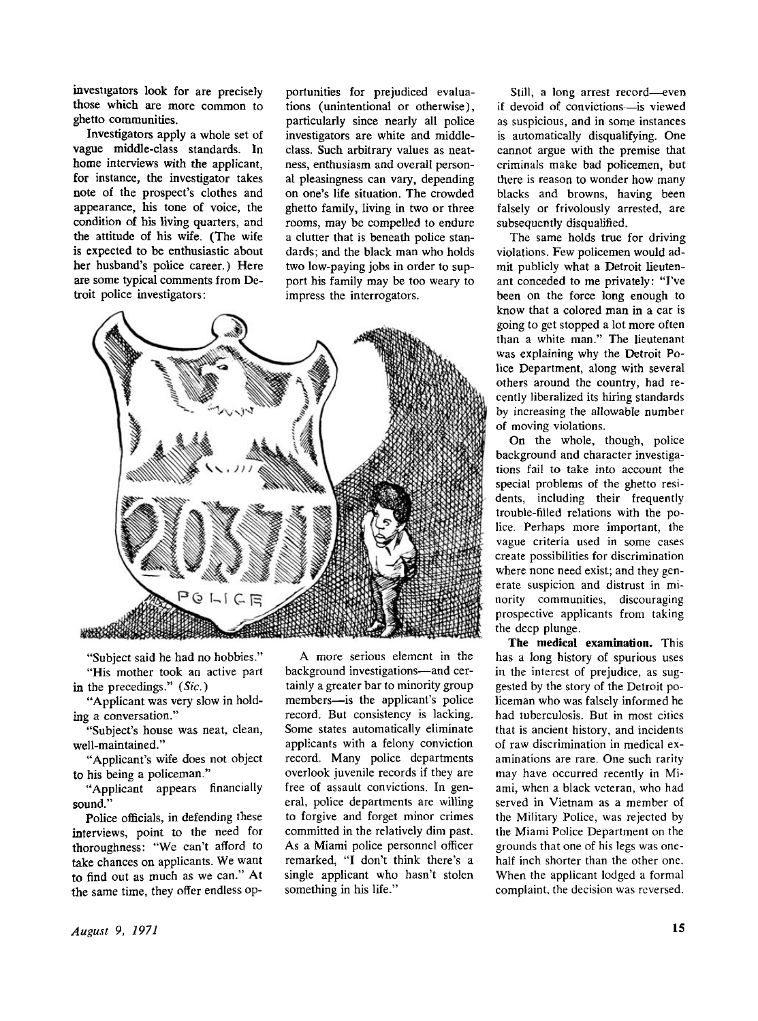**investigators look for are precisely those which are more common to ghetto communities.** 

**Investigators apply a whole set of vague middle-class standards. In home interviews with the applicant, for instance, the investigator takes note of the prospect's clothes and appearance, his tone of voice, the condition of his living quarters, and the attitude of his wife. (The wife is expected to be enthusiastic about her husband's police career.) Here are some typical comments from Detroit police investigators:** 

**portunities for prejudiced evaluations (unintentional or otherwise), particularly since nearly all police investigators are white and middleclass. Such arbitrary values as neatness, enthusiasm and overall personal pleasingness can vary, depending on one's life situation. The crowded ghetto family, living in two or three rooms, may be compelled to endure a clutter that is beneath police standards; and the black man who holds two low-paying jobs in order to support his family may be too weary to impress the interrogators.** 



**"Subject said he had no hobbies." "His mother took an active part in the precedings."** *(Sic.)* 

**"Applicant was very slow in holding a conversation."** 

**"Subject's house was neat, clean, well-maintained."** 

**"Applicant's wife does not object to his being a policeman."** 

**"Applicant appears financially sound."** 

**Police officials, in defending these interviews, point to the need for thoroughness: "We can't afford to take chances on applicants. We want to find out as much as we can." At the same time, they offer endless op-**

**A more serious element in the background investigations—and certainly a greater bar to minority group members—is the applicant's police record. But consistency is lacking. Some states automatically eliminate applicants with a felony conviction record. Many police departments overlook juvenile records if they are free of assault convictions. In general, police departments are willing to forgive and forget minor crimes committed in the relatively dim past. As a Miami police personnel officer remarked, "I don't think there's a single applicant who hasn't stolen something in his life."** 

**Still, a long arrest record—even if devoid of convictions—is viewed as suspicious, and in some instances is automatically disqualifying. One cannot argue with the premise that criminals make bad policemen, but there is reason to wonder how many blacks and browns, having been falsely or frivolously arrested, are subsequently disqualified.** 

**The same holds true for driving violations. Few policemen would admit publicly what a Detroit lieutenant conceded to me privately: "I've been on the force long enough to know that a colored man in a car is going to get stopped a lot more often than a white man." The lieutenant was explaining why the Detroit Police Department, along with several others around the country, had recently liberalized its hiring standards by increasing the allowable number of moving violations.** 

**On the whole, though, police background and character investigations fail to take into account the special problems of the ghetto residents, including their frequently trouble-filled relations with the police. Perhaps more important, the vague criteria used in some cases create possibilities for discrimination where none need exist; and they generate suspicion and distrust in minority communities, discouraging prospective applicants from taking the deep plunge.** 

**The medical examination. This has a long history of spurious uses in the interest of prejudice, as suggested by the story of the Detroit policeman who was falsely informed he had tuberculosis. But in most cities that is ancient history, and incidents of raw discrimination in medical examinations are rare. One such rarity may have occurred recently in Miami, when a black veteran, who had served in Vietnam as a member of the Military Police, was rejected by the Miami Police Department on the grounds that one of his legs was onehalf inch shorter than the other one. When the applicant lodged a formal complaint, the decision was reversed.**